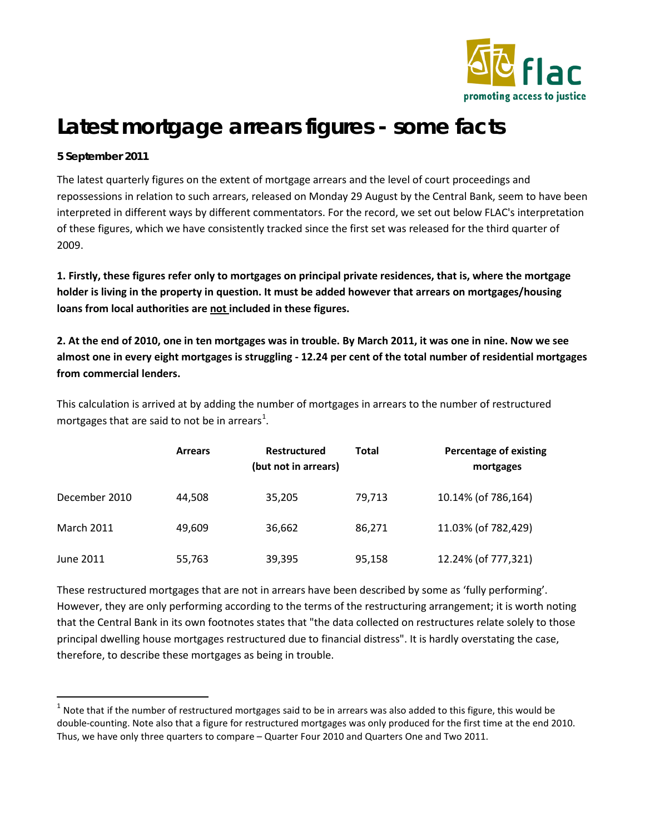

# **Latest mortgage arrears figures - some facts**

### **5 September 2011**

The latest quarterly figures on the extent of mortgage arrears and the level of court proceedings and repossessions in relation to such arrears, released on Monday 29 August by the Central Bank, seem to have been interpreted in different ways by different commentators. For the record, we set out below FLAC's interpretation of these figures, which we have consistently tracked since the first set was released for the third quarter of 2009.

**1. Firstly, these figures refer only to mortgages on principal private residences, that is, where the mortgage holder is living in the property in question. It must be added however that arrears on mortgages/housing loans from local authorities are not included in these figures.**

**2. At the end of 2010, one in ten mortgages was in trouble. By March 2011, it was one in nine. Now we see almost one in every eight mortgages is struggling - 12.24 per cent of the total number of residential mortgages from commercial lenders.**

This calculation is arrived at by adding the number of mortgages in arrears to the number of restructured mortgages that are said to not be in arrears<sup>[1](#page-0-0)</sup>.

|                   | <b>Arrears</b> | <b>Restructured</b><br>(but not in arrears) | <b>Total</b> | <b>Percentage of existing</b><br>mortgages |
|-------------------|----------------|---------------------------------------------|--------------|--------------------------------------------|
| December 2010     | 44,508         | 35,205                                      | 79,713       | 10.14% (of 786,164)                        |
| <b>March 2011</b> | 49,609         | 36,662                                      | 86,271       | 11.03% (of 782,429)                        |
| June 2011         | 55,763         | 39,395                                      | 95,158       | 12.24% (of 777,321)                        |

These restructured mortgages that are not in arrears have been described by some as 'fully performing'. However, they are only performing according to the terms of the restructuring arrangement; it is worth noting that the Central Bank in its own footnotes states that "the data collected on restructures relate solely to those principal dwelling house mortgages restructured due to financial distress". It is hardly overstating the case, therefore, to describe these mortgages as being in trouble.

<span id="page-0-0"></span> $1$  Note that if the number of restructured mortgages said to be in arrears was also added to this figure, this would be double-counting. Note also that a figure for restructured mortgages was only produced for the first time at the end 2010. Thus, we have only three quarters to compare – Quarter Four 2010 and Quarters One and Two 2011.